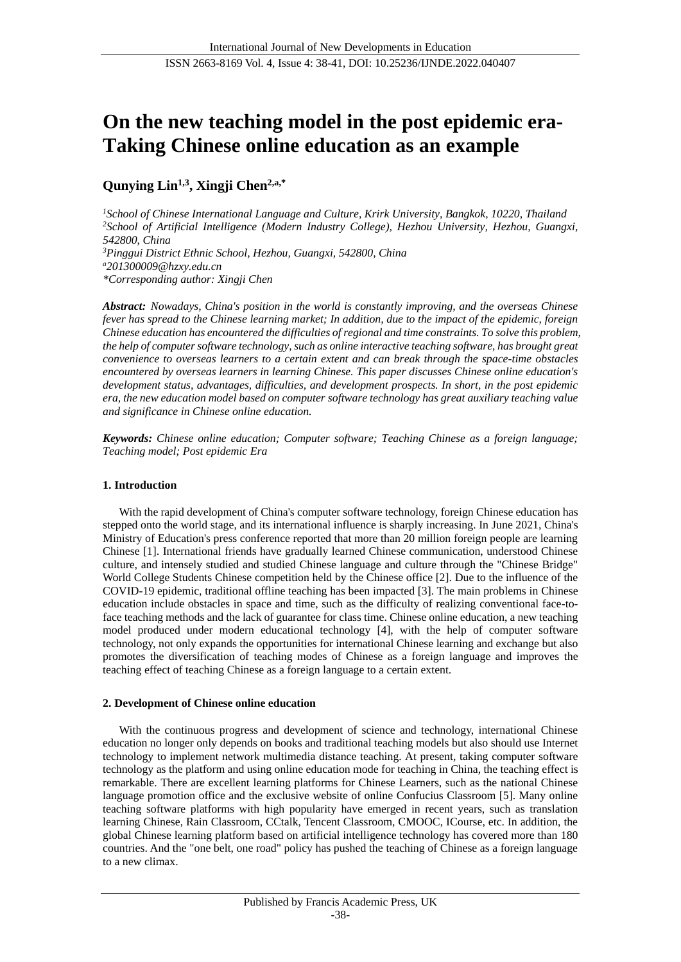# **On the new teaching model in the post epidemic era-Taking Chinese online education as an example**

# **Qunying Lin1,3, Xingji Chen2,a,\***

*<sup>1</sup>School of Chinese International Language and Culture, Krirk University, Bangkok, 10220, Thailand <sup>2</sup>School of Artificial Intelligence (Modern Industry College), Hezhou University, Hezhou, Guangxi, 542800, China <sup>3</sup>Pinggui District Ethnic School, Hezhou, Guangxi, 542800, China <sup>a</sup>201300009@hzxy.edu.cn \*Corresponding author: Xingji Chen*

*Abstract: Nowadays, China's position in the world is constantly improving, and the overseas Chinese fever has spread to the Chinese learning market; In addition, due to the impact of the epidemic, foreign Chinese education has encountered the difficulties of regional and time constraints. To solve this problem, the help of computer software technology, such as online interactive teaching software, has brought great convenience to overseas learners to a certain extent and can break through the space-time obstacles encountered by overseas learners in learning Chinese. This paper discusses Chinese online education's development status, advantages, difficulties, and development prospects. In short, in the post epidemic era, the new education model based on computer software technology has great auxiliary teaching value and significance in Chinese online education.*

*Keywords: Chinese online education; Computer software; Teaching Chinese as a foreign language; Teaching model; Post epidemic Era*

# **1. Introduction**

With the rapid development of China's computer software technology, foreign Chinese education has stepped onto the world stage, and its international influence is sharply increasing. In June 2021, China's Ministry of Education's press conference reported that more than 20 million foreign people are learning Chinese [1]. International friends have gradually learned Chinese communication, understood Chinese culture, and intensely studied and studied Chinese language and culture through the "Chinese Bridge" World College Students Chinese competition held by the Chinese office [2]. Due to the influence of the COVID-19 epidemic, traditional offline teaching has been impacted [3]. The main problems in Chinese education include obstacles in space and time, such as the difficulty of realizing conventional face-toface teaching methods and the lack of guarantee for class time. Chinese online education, a new teaching model produced under modern educational technology [4], with the help of computer software technology, not only expands the opportunities for international Chinese learning and exchange but also promotes the diversification of teaching modes of Chinese as a foreign language and improves the teaching effect of teaching Chinese as a foreign language to a certain extent.

# **2. Development of Chinese online education**

With the continuous progress and development of science and technology, international Chinese education no longer only depends on books and traditional teaching models but also should use Internet technology to implement network multimedia distance teaching. At present, taking computer software technology as the platform and using online education mode for teaching in China, the teaching effect is remarkable. There are excellent learning platforms for Chinese Learners, such as the national Chinese language promotion office and the exclusive website of online Confucius Classroom [5]. Many online teaching software platforms with high popularity have emerged in recent years, such as translation learning Chinese, Rain Classroom, CCtalk, Tencent Classroom, CMOOC, ICourse, etc. In addition, the global Chinese learning platform based on artificial intelligence technology has covered more than 180 countries. And the "one belt, one road" policy has pushed the teaching of Chinese as a foreign language to a new climax.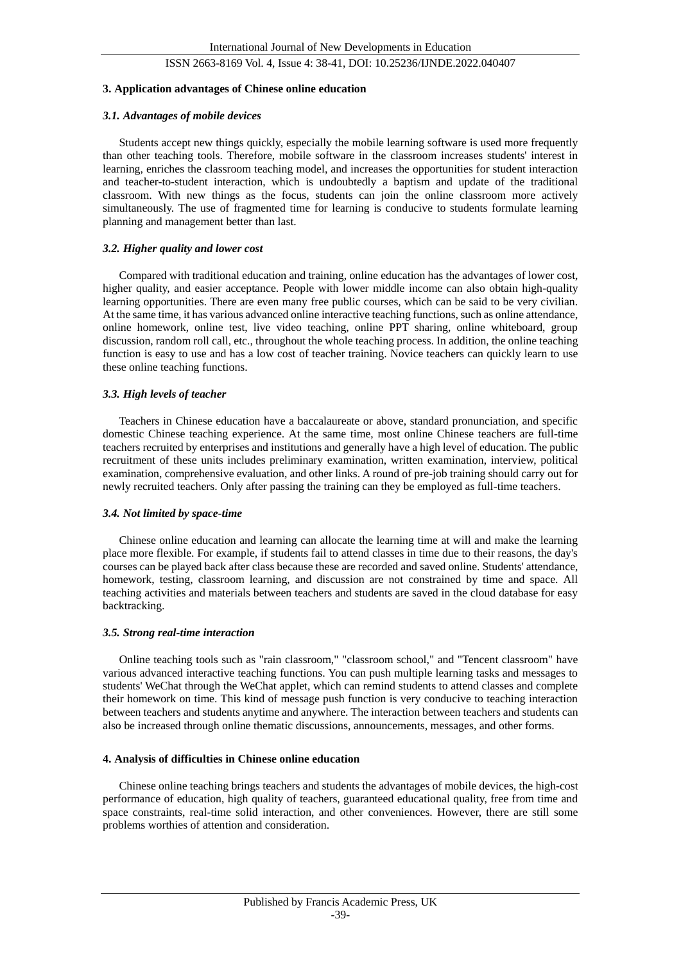# ISSN 2663-8169 Vol. 4, Issue 4: 38-41, DOI: 10.25236/IJNDE.2022.040407

#### **3. Application advantages of Chinese online education**

#### *3.1. Advantages of mobile devices*

Students accept new things quickly, especially the mobile learning software is used more frequently than other teaching tools. Therefore, mobile software in the classroom increases students' interest in learning, enriches the classroom teaching model, and increases the opportunities for student interaction and teacher-to-student interaction, which is undoubtedly a baptism and update of the traditional classroom. With new things as the focus, students can join the online classroom more actively simultaneously. The use of fragmented time for learning is conducive to students formulate learning planning and management better than last.

# *3.2. Higher quality and lower cost*

Compared with traditional education and training, online education has the advantages of lower cost, higher quality, and easier acceptance. People with lower middle income can also obtain high-quality learning opportunities. There are even many free public courses, which can be said to be very civilian. At the same time, it has various advanced online interactive teaching functions, such as online attendance, online homework, online test, live video teaching, online PPT sharing, online whiteboard, group discussion, random roll call, etc., throughout the whole teaching process. In addition, the online teaching function is easy to use and has a low cost of teacher training. Novice teachers can quickly learn to use these online teaching functions.

#### *3.3. High levels of teacher*

Teachers in Chinese education have a baccalaureate or above, standard pronunciation, and specific domestic Chinese teaching experience. At the same time, most online Chinese teachers are full-time teachers recruited by enterprises and institutions and generally have a high level of education. The public recruitment of these units includes preliminary examination, written examination, interview, political examination, comprehensive evaluation, and other links. A round of pre-job training should carry out for newly recruited teachers. Only after passing the training can they be employed as full-time teachers.

#### *3.4. Not limited by space-time*

Chinese online education and learning can allocate the learning time at will and make the learning place more flexible. For example, if students fail to attend classes in time due to their reasons, the day's courses can be played back after class because these are recorded and saved online. Students' attendance, homework, testing, classroom learning, and discussion are not constrained by time and space. All teaching activities and materials between teachers and students are saved in the cloud database for easy backtracking.

#### *3.5. Strong real-time interaction*

Online teaching tools such as "rain classroom," "classroom school," and "Tencent classroom" have various advanced interactive teaching functions. You can push multiple learning tasks and messages to students' WeChat through the WeChat applet, which can remind students to attend classes and complete their homework on time. This kind of message push function is very conducive to teaching interaction between teachers and students anytime and anywhere. The interaction between teachers and students can also be increased through online thematic discussions, announcements, messages, and other forms.

# **4. Analysis of difficulties in Chinese online education**

Chinese online teaching brings teachers and students the advantages of mobile devices, the high-cost performance of education, high quality of teachers, guaranteed educational quality, free from time and space constraints, real-time solid interaction, and other conveniences. However, there are still some problems worthies of attention and consideration.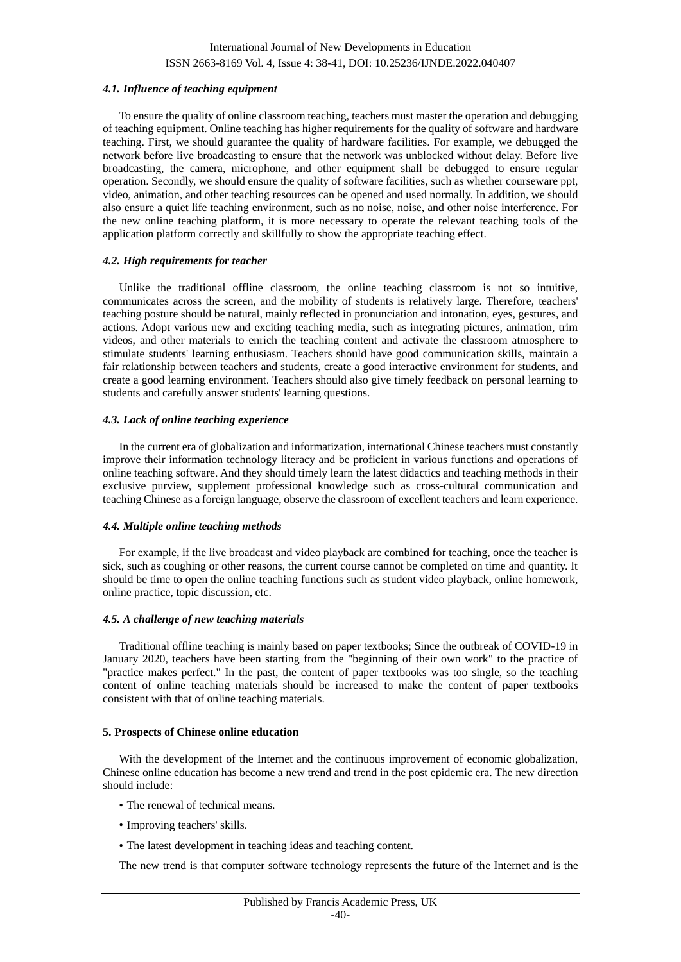# ISSN 2663-8169 Vol. 4, Issue 4: 38-41, DOI: 10.25236/IJNDE.2022.040407

#### *4.1. Influence of teaching equipment*

To ensure the quality of online classroom teaching, teachers must master the operation and debugging of teaching equipment. Online teaching has higher requirements for the quality of software and hardware teaching. First, we should guarantee the quality of hardware facilities. For example, we debugged the network before live broadcasting to ensure that the network was unblocked without delay. Before live broadcasting, the camera, microphone, and other equipment shall be debugged to ensure regular operation. Secondly, we should ensure the quality of software facilities, such as whether courseware ppt, video, animation, and other teaching resources can be opened and used normally. In addition, we should also ensure a quiet life teaching environment, such as no noise, noise, and other noise interference. For the new online teaching platform, it is more necessary to operate the relevant teaching tools of the application platform correctly and skillfully to show the appropriate teaching effect.

#### *4.2. High requirements for teacher*

Unlike the traditional offline classroom, the online teaching classroom is not so intuitive, communicates across the screen, and the mobility of students is relatively large. Therefore, teachers' teaching posture should be natural, mainly reflected in pronunciation and intonation, eyes, gestures, and actions. Adopt various new and exciting teaching media, such as integrating pictures, animation, trim videos, and other materials to enrich the teaching content and activate the classroom atmosphere to stimulate students' learning enthusiasm. Teachers should have good communication skills, maintain a fair relationship between teachers and students, create a good interactive environment for students, and create a good learning environment. Teachers should also give timely feedback on personal learning to students and carefully answer students' learning questions.

### *4.3. Lack of online teaching experience*

In the current era of globalization and informatization, international Chinese teachers must constantly improve their information technology literacy and be proficient in various functions and operations of online teaching software. And they should timely learn the latest didactics and teaching methods in their exclusive purview, supplement professional knowledge such as cross-cultural communication and teaching Chinese as a foreign language, observe the classroom of excellent teachers and learn experience.

#### *4.4. Multiple online teaching methods*

For example, if the live broadcast and video playback are combined for teaching, once the teacher is sick, such as coughing or other reasons, the current course cannot be completed on time and quantity. It should be time to open the online teaching functions such as student video playback, online homework, online practice, topic discussion, etc.

#### *4.5. A challenge of new teaching materials*

Traditional offline teaching is mainly based on paper textbooks; Since the outbreak of COVID-19 in January 2020, teachers have been starting from the "beginning of their own work" to the practice of "practice makes perfect." In the past, the content of paper textbooks was too single, so the teaching content of online teaching materials should be increased to make the content of paper textbooks consistent with that of online teaching materials.

#### **5. Prospects of Chinese online education**

With the development of the Internet and the continuous improvement of economic globalization, Chinese online education has become a new trend and trend in the post epidemic era. The new direction should include:

- The renewal of technical means.
- Improving teachers' skills.
- The latest development in teaching ideas and teaching content.

The new trend is that computer software technology represents the future of the Internet and is the